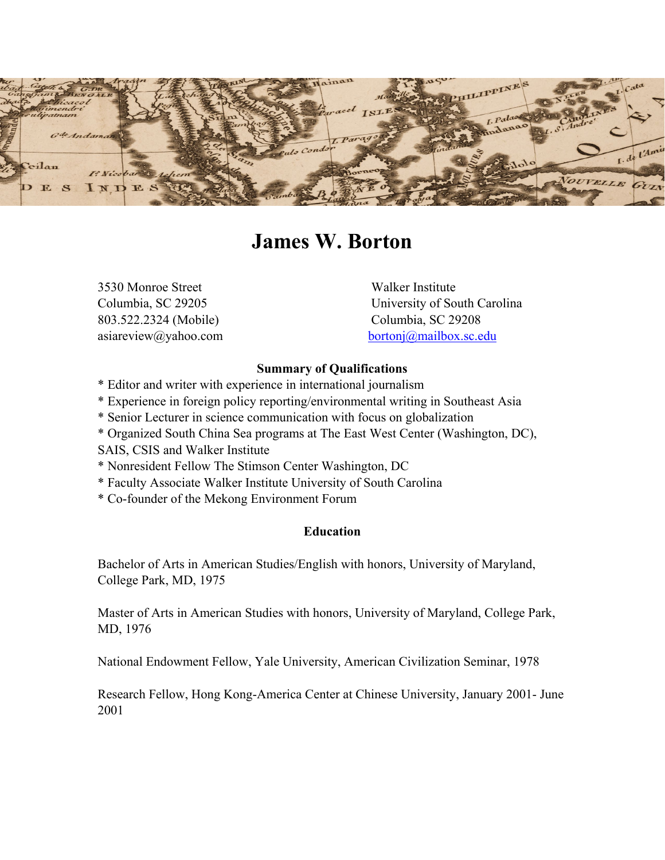

# **James W. Borton**

3530 Monroe Street Walker Institute 803.522.2324 (Mobile) Columbia, SC 29208

Columbia, SC 29205 University of South Carolina asiareview@yahoo.com [bortonj@mailbox.sc.edu](mailto:bortonj@mailbox.sc.edu)

#### **Summary of Qualifications**

- \* Editor and writer with experience in international journalism
- \* Experience in foreign policy reporting/environmental writing in Southeast Asia
- \* Senior Lecturer in science communication with focus on globalization
- \* Organized South China Sea programs at The East West Center (Washington, DC),
- SAIS, CSIS and Walker Institute
- \* Nonresident Fellow The Stimson Center Washington, DC
- \* Faculty Associate Walker Institute University of South Carolina
- \* Co-founder of the Mekong Environment Forum

## **Education**

Bachelor of Arts in American Studies/English with honors, University of Maryland, College Park, MD, 1975

Master of Arts in American Studies with honors, University of Maryland, College Park, MD, 1976

National Endowment Fellow, Yale University, American Civilization Seminar, 1978

Research Fellow, Hong Kong-America Center at Chinese University, January 2001- June 2001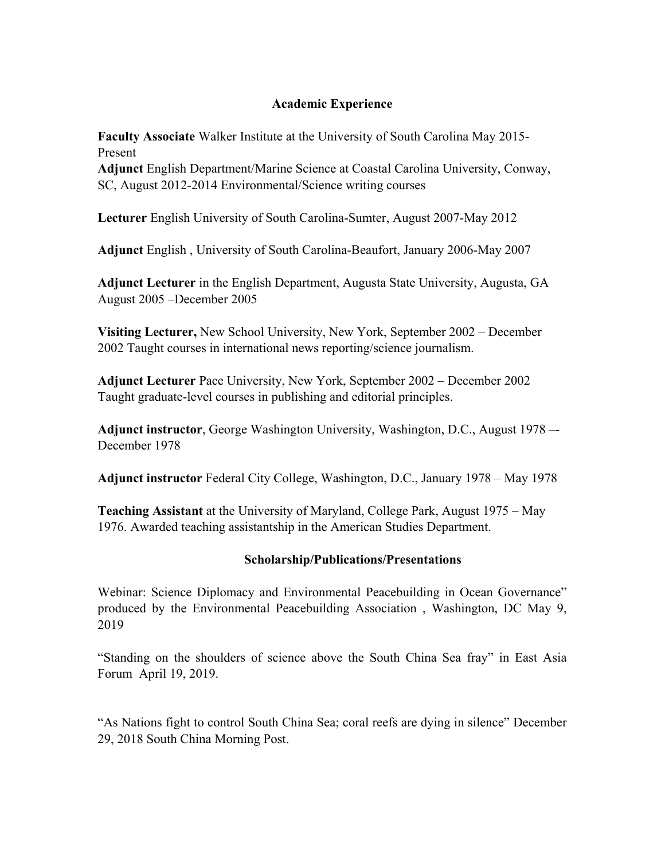## **Academic Experience**

**Faculty Associate** Walker Institute at the University of South Carolina May 2015- Present

**Adjunct** English Department/Marine Science at Coastal Carolina University, Conway, SC, August 2012-2014 Environmental/Science writing courses

**Lecturer** English University of South Carolina-Sumter, August 2007-May 2012

**Adjunct** English , University of South Carolina-Beaufort, January 2006-May 2007

**Adjunct Lecturer** in the English Department, Augusta State University, Augusta, GA August 2005 –December 2005

**Visiting Lecturer,** New School University, New York, September 2002 – December 2002 Taught courses in international news reporting/science journalism.

**Adjunct Lecturer** Pace University, New York, September 2002 – December 2002 Taught graduate-level courses in publishing and editorial principles.

**Adjunct instructor**, George Washington University, Washington, D.C., August 1978 –- December 1978

**Adjunct instructor** Federal City College, Washington, D.C., January 1978 – May 1978

**Teaching Assistant** at the University of Maryland, College Park, August 1975 – May 1976. Awarded teaching assistantship in the American Studies Department.

## **Scholarship/Publications/Presentations**

Webinar: Science Diplomacy and Environmental Peacebuilding in Ocean Governance" produced by the Environmental Peacebuilding Association , Washington, DC May 9, 2019

"Standing on the shoulders of science above the South China Sea fray" in East Asia Forum April 19, 2019.

"As Nations fight to control South China Sea; coral reefs are dying in silence" December 29, 2018 South China Morning Post.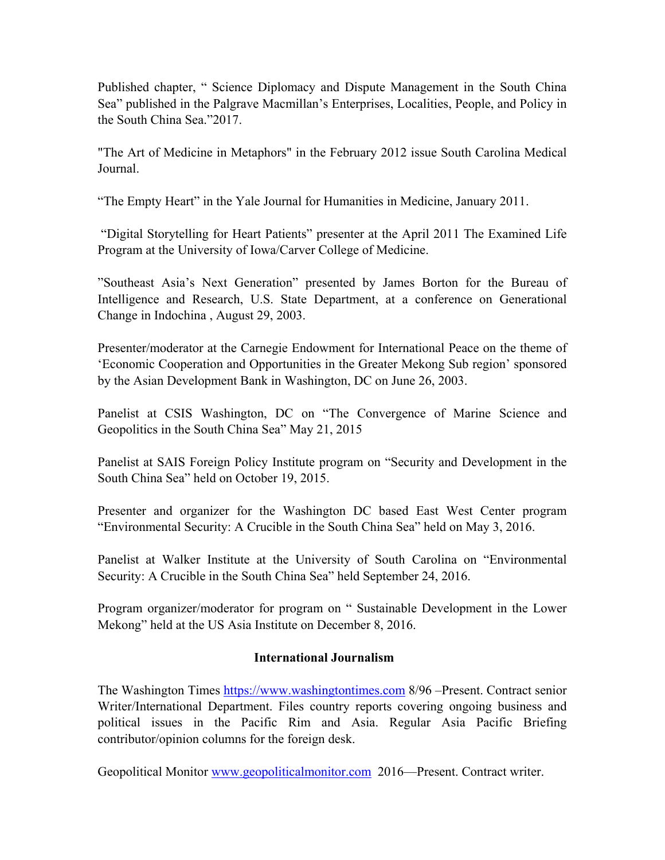Published chapter, " Science Diplomacy and Dispute Management in the South China Sea" published in the Palgrave Macmillan's Enterprises, Localities, People, and Policy in the South China Sea."2017.

"The Art of Medicine in Metaphors" in the February 2012 issue South Carolina Medical Journal.

"The Empty Heart" in the Yale Journal for Humanities in Medicine, January 2011.

"Digital Storytelling for Heart Patients" presenter at the April 2011 The Examined Life Program at the University of Iowa/Carver College of Medicine.

"Southeast Asia's Next Generation" presented by James Borton for the Bureau of Intelligence and Research, U.S. State Department, at a conference on Generational Change in Indochina , August 29, 2003.

Presenter/moderator at the Carnegie Endowment for International Peace on the theme of 'Economic Cooperation and Opportunities in the Greater Mekong Sub region' sponsored by the Asian Development Bank in Washington, DC on June 26, 2003.

Panelist at CSIS Washington, DC on "The Convergence of Marine Science and Geopolitics in the South China Sea" May 21, 2015

Panelist at SAIS Foreign Policy Institute program on "Security and Development in the South China Sea" held on October 19, 2015.

Presenter and organizer for the Washington DC based East West Center program "Environmental Security: A Crucible in the South China Sea" held on May 3, 2016.

Panelist at Walker Institute at the University of South Carolina on "Environmental Security: A Crucible in the South China Sea" held September 24, 2016.

Program organizer/moderator for program on " Sustainable Development in the Lower Mekong" held at the US Asia Institute on December 8, 2016.

## **International Journalism**

The Washington Times [https://www.washingtontimes.com](https://www.washingtontimes.com/) 8/96 –Present. Contract senior Writer/International Department. Files country reports covering ongoing business and political issues in the Pacific Rim and Asia. Regular Asia Pacific Briefing contributor/opinion columns for the foreign desk.

Geopolitical Monitor [www.geopoliticalmonitor.com](http://www.geopoliticalmonitor.com/) 2016—Present. Contract writer.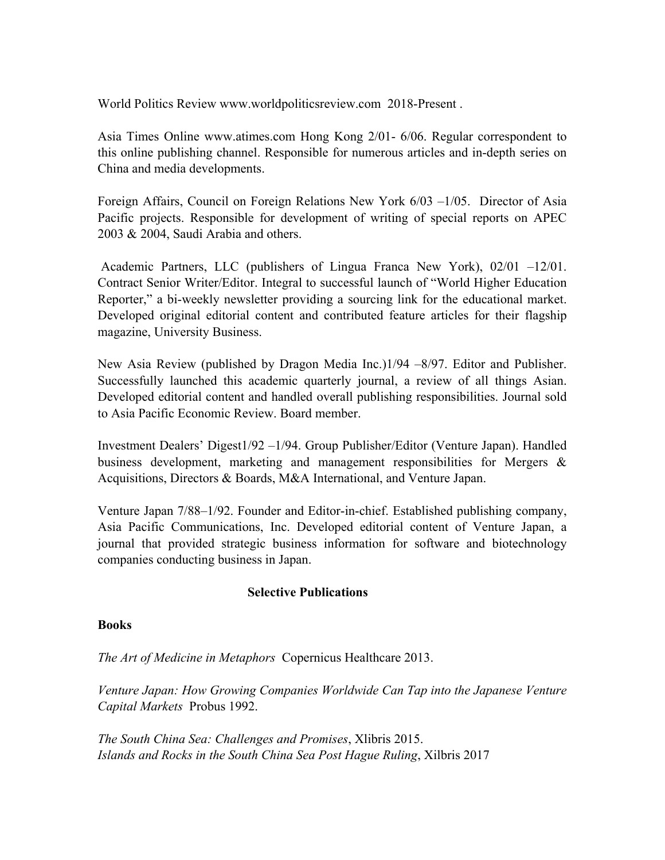World Politics Review www.worldpoliticsreview.com 2018-Present .

Asia Times Online www.atimes.com Hong Kong 2/01- 6/06. Regular correspondent to this online publishing channel. Responsible for numerous articles and in-depth series on China and media developments.

Foreign Affairs, Council on Foreign Relations New York 6/03 –1/05. Director of Asia Pacific projects. Responsible for development of writing of special reports on APEC 2003 & 2004, Saudi Arabia and others.

Academic Partners, LLC (publishers of Lingua Franca New York), 02/01 –12/01. Contract Senior Writer/Editor. Integral to successful launch of "World Higher Education Reporter," a bi-weekly newsletter providing a sourcing link for the educational market. Developed original editorial content and contributed feature articles for their flagship magazine, University Business.

New Asia Review (published by Dragon Media Inc.)1/94 –8/97. Editor and Publisher. Successfully launched this academic quarterly journal, a review of all things Asian. Developed editorial content and handled overall publishing responsibilities. Journal sold to Asia Pacific Economic Review. Board member.

Investment Dealers' Digest1/92 –1/94. Group Publisher/Editor (Venture Japan). Handled business development, marketing and management responsibilities for Mergers & Acquisitions, Directors & Boards, M&A International, and Venture Japan.

Venture Japan 7/88–1/92. Founder and Editor-in-chief. Established publishing company, Asia Pacific Communications, Inc. Developed editorial content of Venture Japan, a journal that provided strategic business information for software and biotechnology companies conducting business in Japan.

## **Selective Publications**

#### **Books**

*The Art of Medicine in Metaphors* Copernicus Healthcare 2013.

*Venture Japan: How Growing Companies Worldwide Can Tap into the Japanese Venture Capital Markets* Probus 1992.

*The South China Sea: Challenges and Promises*, Xlibris 2015. *Islands and Rocks in the South China Sea Post Hague Ruling*, Xilbris 2017